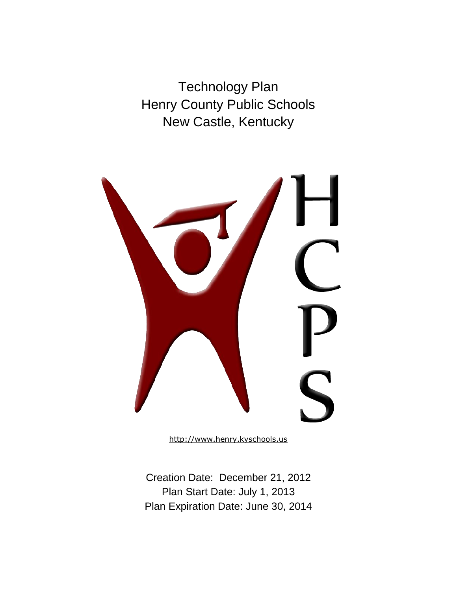Technology Plan Henry County Public Schools New Castle, Kentucky



[http://www.henry.kyschools.us](http://www.henry.kyschools.us/education/)

Creation Date: December 21, 2012 Plan Start Date: July 1, 2013 Plan Expiration Date: June 30, 2014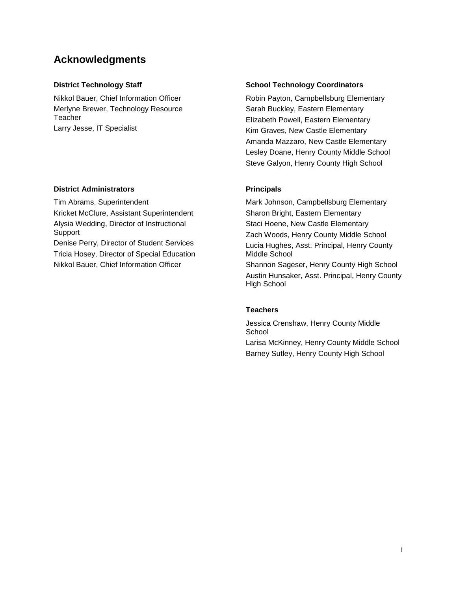## **Acknowledgments**

Nikkol Bauer, Chief Information Officer Merlyne Brewer, Technology Resource **Teacher** Larry Jesse, IT Specialist

#### **District Administrators Principals**

Tim Abrams, Superintendent Kricket McClure, Assistant Superintendent Alysia Wedding, Director of Instructional Support Denise Perry, Director of Student Services Tricia Hosey, Director of Special Education

Nikkol Bauer, Chief Information Officer

#### **District Technology Staff School Technology Coordinators Coordinators Action**

Robin Payton, Campbellsburg Elementary Sarah Buckley, Eastern Elementary Elizabeth Powell, Eastern Elementary Kim Graves, New Castle Elementary Amanda Mazzaro, New Castle Elementary Lesley Doane, Henry County Middle School Steve Galyon, Henry County High School

Mark Johnson, Campbellsburg Elementary Sharon Bright, Eastern Elementary Staci Hoene, New Castle Elementary Zach Woods, Henry County Middle School Lucia Hughes, Asst. Principal, Henry County Middle School Shannon Sageser, Henry County High School Austin Hunsaker, Asst. Principal, Henry County

#### **Teachers**

High School

Jessica Crenshaw, Henry County Middle **School** 

Larisa McKinney, Henry County Middle School Barney Sutley, Henry County High School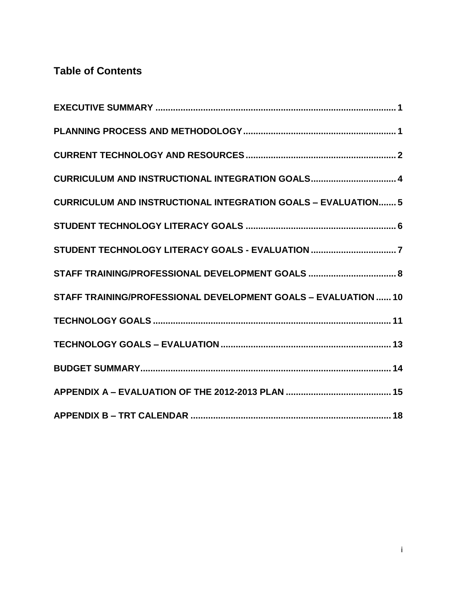# **Table of Contents**

| CURRICULUM AND INSTRUCTIONAL INTEGRATION GOALS 4                     |
|----------------------------------------------------------------------|
| <b>CURRICULUM AND INSTRUCTIONAL INTEGRATION GOALS - EVALUATION 5</b> |
|                                                                      |
|                                                                      |
| STAFF TRAINING/PROFESSIONAL DEVELOPMENT GOALS  8                     |
| STAFF TRAINING/PROFESSIONAL DEVELOPMENT GOALS - EVALUATION  10       |
|                                                                      |
|                                                                      |
|                                                                      |
|                                                                      |
|                                                                      |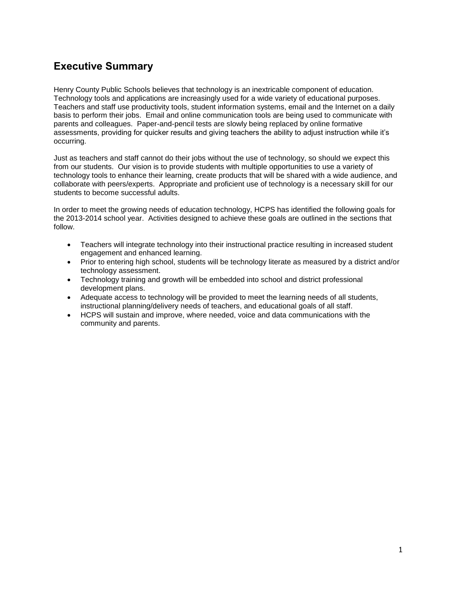## <span id="page-3-0"></span>**Executive Summary**

Henry County Public Schools believes that technology is an inextricable component of education. Technology tools and applications are increasingly used for a wide variety of educational purposes. Teachers and staff use productivity tools, student information systems, email and the Internet on a daily basis to perform their jobs. Email and online communication tools are being used to communicate with parents and colleagues. Paper-and-pencil tests are slowly being replaced by online formative assessments, providing for quicker results and giving teachers the ability to adjust instruction while it's occurring.

Just as teachers and staff cannot do their jobs without the use of technology, so should we expect this from our students. Our vision is to provide students with multiple opportunities to use a variety of technology tools to enhance their learning, create products that will be shared with a wide audience, and collaborate with peers/experts. Appropriate and proficient use of technology is a necessary skill for our students to become successful adults.

In order to meet the growing needs of education technology, HCPS has identified the following goals for the 2013-2014 school year. Activities designed to achieve these goals are outlined in the sections that follow.

- Teachers will integrate technology into their instructional practice resulting in increased student engagement and enhanced learning.
- Prior to entering high school, students will be technology literate as measured by a district and/or technology assessment.
- Technology training and growth will be embedded into school and district professional development plans.
- Adequate access to technology will be provided to meet the learning needs of all students, instructional planning/delivery needs of teachers, and educational goals of all staff.
- HCPS will sustain and improve, where needed, voice and data communications with the community and parents.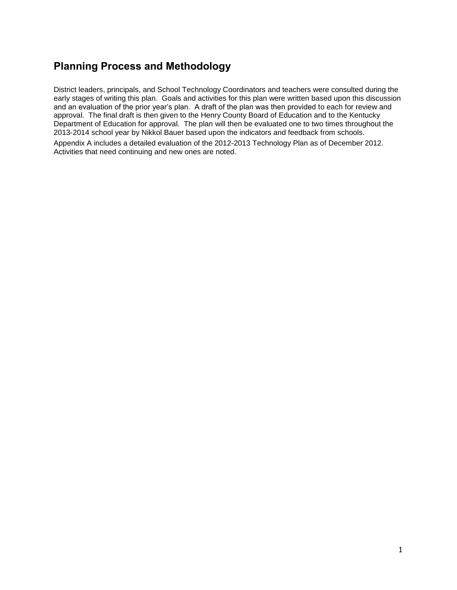## <span id="page-4-0"></span>**Planning Process and Methodology**

District leaders, principals, and School Technology Coordinators and teachers were consulted during the early stages of writing this plan. Goals and activities for this plan were written based upon this discussion and an evaluation of the prior year's plan. A draft of the plan was then provided to each for review and approval. The final draft is then given to the Henry County Board of Education and to the Kentucky Department of Education for approval. The plan will then be evaluated one to two times throughout the 2013-2014 school year by Nikkol Bauer based upon the indicators and feedback from schools.

Appendix A includes a detailed evaluation of the 2012-2013 Technology Plan as of December 2012. Activities that need continuing and new ones are noted.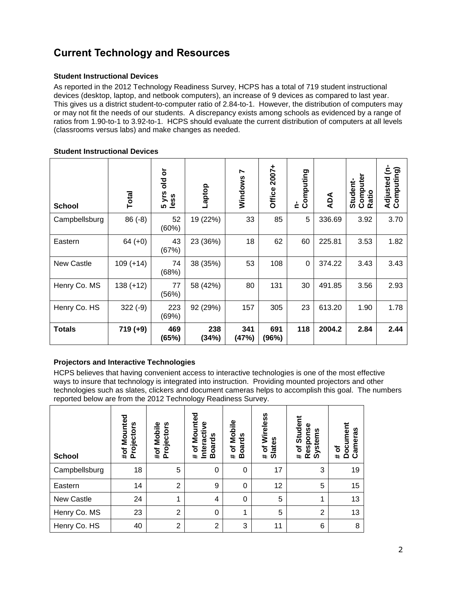# <span id="page-5-0"></span>**Current Technology and Resources**

#### **Student Instructional Devices**

As reported in the 2012 Technology Readiness Survey, HCPS has a total of 719 student instructional devices (desktop, laptop, and netbook computers), an increase of 9 devices as compared to last year. This gives us a district student-to-computer ratio of 2.84-to-1. However, the distribution of computers may or may not fit the needs of our students. A discrepancy exists among schools as evidenced by a range of ratios from 1.90-to-1 to 3.92-to-1. HCPS should evaluate the current distribution of computers at all levels (classrooms versus labs) and make changes as needed.

#### **Student Instructional Devices**

| <b>School</b>     | <b>Total</b> | ŏ<br>흥<br>yrs<br>less<br>ശ | Laptop       | Ņ<br>Windows | Office 2007+ | Computing<br>Ł | ADA    | Computer<br>Student-<br>Ratio | έ<br>Adjusted (n-<br>Computing) |
|-------------------|--------------|----------------------------|--------------|--------------|--------------|----------------|--------|-------------------------------|---------------------------------|
| Campbellsburg     | $86(-8)$     | 52<br>(60%)                | 19 (22%)     | 33           | 85           | 5              | 336.69 | 3.92                          | 3.70                            |
| Eastern           | $64 (+0)$    | 43<br>(67%)                | 23 (36%)     | 18           | 62           | 60             | 225.81 | 3.53                          | 1.82                            |
| <b>New Castle</b> | $109 (+14)$  | 74<br>(68%)                | 38 (35%)     | 53           | 108          | $\pmb{0}$      | 374.22 | 3.43                          | 3.43                            |
| Henry Co. MS      | 138 (+12)    | 77<br>(56%)                | 58 (42%)     | 80           | 131          | 30             | 491.85 | 3.56                          | 2.93                            |
| Henry Co. HS      | $322(-9)$    | 223<br>(69%)               | 92 (29%)     | 157          | 305          | 23             | 613.20 | 1.90                          | 1.78                            |
| <b>Totals</b>     | $719 (+9)$   | 469<br>(65%)               | 238<br>(34%) | 341<br>(47%) | 691<br>(96%) | 118            | 2004.2 | 2.84                          | 2.44                            |

### **Projectors and Interactive Technologies**

HCPS believes that having convenient access to interactive technologies is one of the most effective ways to insure that technology is integrated into instruction. Providing mounted projectors and other technologies such as slates, clickers and document cameras helps to accomplish this goal. The numbers reported below are from the 2012 Technology Readiness Survey.

| <b>School</b> | Mounted<br>Projectors<br>#of | Mobile<br>Projectors<br>#of | Mounted<br>Interactive<br>oards<br>৳<br>≃<br>$\ddot{}$ | Mobile<br>oards<br>$\mathbf{\ddot{o}}$<br>⋒<br>$\ddagger$ | Wireless<br>lates<br>৳<br>စ<br>$\ddot{}$ | Student<br>Response<br>Systems<br>$\mathbf{\tilde{o}}$<br>$\ddot{\mathbf{r}}$ | Document<br>æ<br>amera<br>ð<br>ပ<br>$\ddot{}$ |
|---------------|------------------------------|-----------------------------|--------------------------------------------------------|-----------------------------------------------------------|------------------------------------------|-------------------------------------------------------------------------------|-----------------------------------------------|
| Campbellsburg | 18                           | 5                           | 0                                                      | 0                                                         | 17                                       | 3                                                                             | 19                                            |
| Eastern       | 14                           | $\overline{2}$              | 9                                                      | 0                                                         | 12                                       | 5                                                                             | 15                                            |
| New Castle    | 24                           | 1                           | 4                                                      | 0                                                         | 5                                        | 1                                                                             | 13                                            |
| Henry Co. MS  | 23                           | $\overline{2}$              | $\Omega$                                               | 1                                                         | 5                                        | $\overline{2}$                                                                | 13                                            |
| Henry Co. HS  | 40                           | $\overline{2}$              | $\overline{2}$                                         | 3                                                         | 11                                       | 6                                                                             | 8                                             |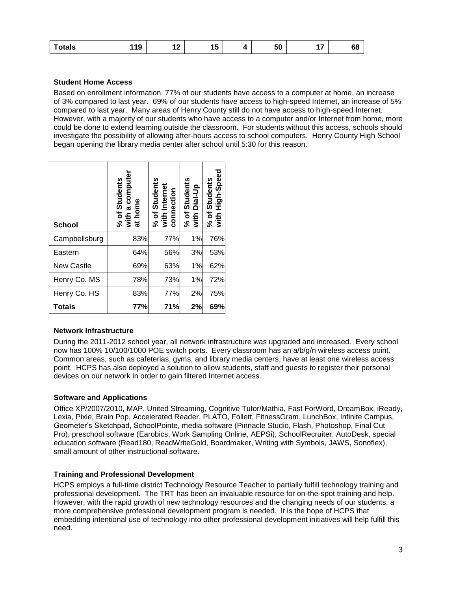| י י<br>19،<br><b>otals</b><br>. . | -<br>. в<br>л<br>יי | 50 | . .<br>. . | ~~<br>oo |
|-----------------------------------|---------------------|----|------------|----------|
|-----------------------------------|---------------------|----|------------|----------|

#### **Student Home Access**

Based on enrollment information, 77% of our students have access to a computer at home, an increase of 3% compared to last year. 69% of our students have access to high-speed Internet, an increase of 5% compared to last year. Many areas of Henry County still do not have access to high-speed Internet. However, with a majority of our students who have access to a computer and/or Internet from home, more could be done to extend learning outside the classroom. For students without this access, schools should investigate the possibility of allowing after-hours access to school computers. Henry County High School began opening the library media center after school until 5:30 for this reason.

| <b>School</b>     | % of Students<br>with a computer<br>at home | % of Students<br>with Internet<br>connection | % of Students<br>with Dial-Up | Students<br>High-Speed<br>with I<br>% of |
|-------------------|---------------------------------------------|----------------------------------------------|-------------------------------|------------------------------------------|
| Campbellsburg     | 83%                                         | 77%                                          | 1%                            | 76%                                      |
| Eastern           | 64%                                         | 56%                                          | 3%                            | 53%                                      |
| <b>New Castle</b> | 69%                                         | 63%                                          | 1%                            | 62%                                      |
| Henry Co. MS      | 78%                                         | 73%                                          | 1%                            | 72%                                      |
| Henry Co. HS      | 83%                                         | 77%                                          | 2%                            | 75%                                      |
| <b>Totals</b>     | 77%                                         | 71%                                          | 2%                            | 69%                                      |

#### **Network Infrastructure**

During the 2011-2012 school year, all network infrastructure was upgraded and increased. Every school now has 100% 10/100/1000 POE switch ports. Every classroom has an a/b/g/n wireless access point. Common areas, such as cafeterias, gyms, and library media centers, have at least one wireless access point. HCPS has also deployed a solution to allow students, staff and guests to register their personal devices on our network in order to gain filtered Internet access.

#### **Software and Applications**

Office XP/2007/2010, MAP, United Streaming, Cognitive Tutor/Mathia, Fast ForWord, DreamBox, iReady, Lexia, Pixie, Brain Pop, Accelerated Reader, PLATO, Follett, FitnessGram, LunchBox, Infinite Campus, Geometer's Sketchpad, SchoolPointe, media software (Pinnacle Studio, Flash, Photoshop, Final Cut Pro), preschool software (Earobics, Work Sampling Online, AEPSi), SchoolRecruiter, AutoDesk, special education software (Read180, ReadWriteGold, Boardmaker, Writing with Symbols, JAWS, Sonoflex), small amount of other instructional software.

#### **Training and Professional Development**

HCPS employs a full-time district Technology Resource Teacher to partially fulfill technology training and professional development. The TRT has been an invaluable resource for on-the-spot training and help. However, with the rapid growth of new technology resources and the changing needs of our students, a more comprehensive professional development program is needed. It is the hope of HCPS that embedding intentional use of technology into other professional development initiatives will help fulfill this need.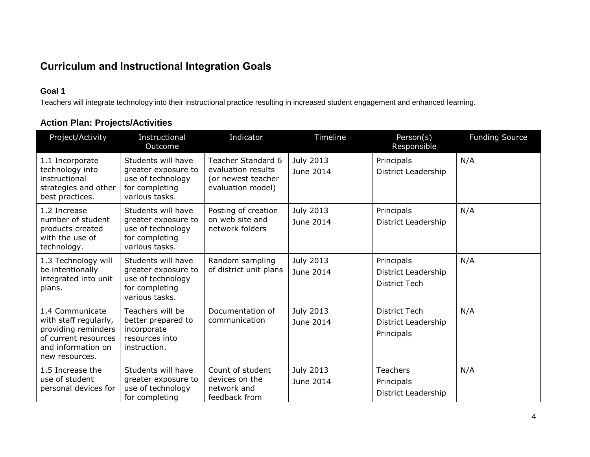# **Curriculum and Instructional Integration Goals**

## **Goal 1**

Teachers will integrate technology into their instructional practice resulting in increased student engagement and enhanced learning.

|  | <b>Action Plan: Projects/Activities</b> |
|--|-----------------------------------------|
|--|-----------------------------------------|

<span id="page-7-0"></span>

| Project/Activity                                                                                                                | Instructional<br>Outcome                                                                           | Indicator                                                                                  | Timeline               | Person(s)<br>Responsible                                  | <b>Funding Source</b> |
|---------------------------------------------------------------------------------------------------------------------------------|----------------------------------------------------------------------------------------------------|--------------------------------------------------------------------------------------------|------------------------|-----------------------------------------------------------|-----------------------|
| 1.1 Incorporate<br>technology into<br>instructional<br>strategies and other<br>best practices.                                  | Students will have<br>greater exposure to<br>use of technology<br>for completing<br>various tasks. | <b>Teacher Standard 6</b><br>evaluation results<br>(or newest teacher<br>evaluation model) | July 2013<br>June 2014 | Principals<br>District Leadership                         | N/A                   |
| 1.2 Increase<br>number of student<br>products created<br>with the use of<br>technology.                                         | Students will have<br>greater exposure to<br>use of technology<br>for completing<br>various tasks. | Posting of creation<br>on web site and<br>network folders                                  | July 2013<br>June 2014 | Principals<br>District Leadership                         | N/A                   |
| 1.3 Technology will<br>be intentionally<br>integrated into unit<br>plans.                                                       | Students will have<br>greater exposure to<br>use of technology<br>for completing<br>various tasks. | Random sampling<br>of district unit plans                                                  | July 2013<br>June 2014 | Principals<br>District Leadership<br><b>District Tech</b> | N/A                   |
| 1.4 Communicate<br>with staff regularly,<br>providing reminders<br>of current resources<br>and information on<br>new resources. | Teachers will be<br>better prepared to<br>incorporate<br>resources into<br>instruction.            | Documentation of<br>communication                                                          | July 2013<br>June 2014 | <b>District Tech</b><br>District Leadership<br>Principals | N/A                   |
| 1.5 Increase the<br>use of student<br>personal devices for                                                                      | Students will have<br>greater exposure to<br>use of technology<br>for completing                   | Count of student<br>devices on the<br>network and<br>feedback from                         | July 2013<br>June 2014 | <b>Teachers</b><br>Principals<br>District Leadership      | N/A                   |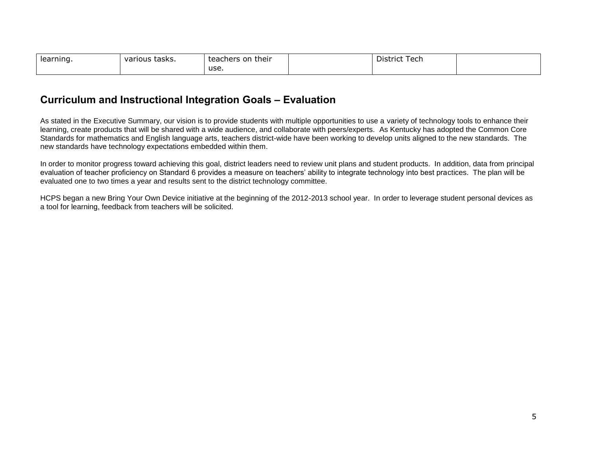| learning. | various tasks. | their<br>on<br>teachers | -<br>۱۵۲۲<br>District<br>וטטו |  |
|-----------|----------------|-------------------------|-------------------------------|--|
|           |                | use.                    |                               |  |

## **Curriculum and Instructional Integration Goals – Evaluation**

As stated in the Executive Summary, our vision is to provide students with multiple opportunities to use a variety of technology tools to enhance their learning, create products that will be shared with a wide audience, and collaborate with peers/experts. As Kentucky has adopted the Common Core Standards for mathematics and English language arts, teachers district-wide have been working to develop units aligned to the new standards. The new standards have technology expectations embedded within them.

In order to monitor progress toward achieving this goal, district leaders need to review unit plans and student products. In addition, data from principal evaluation of teacher proficiency on Standard 6 provides a measure on teachers' ability to integrate technology into best practices. The plan will be evaluated one to two times a year and results sent to the district technology committee.

<span id="page-8-0"></span>HCPS began a new Bring Your Own Device initiative at the beginning of the 2012-2013 school year. In order to leverage student personal devices as a tool for learning, feedback from teachers will be solicited.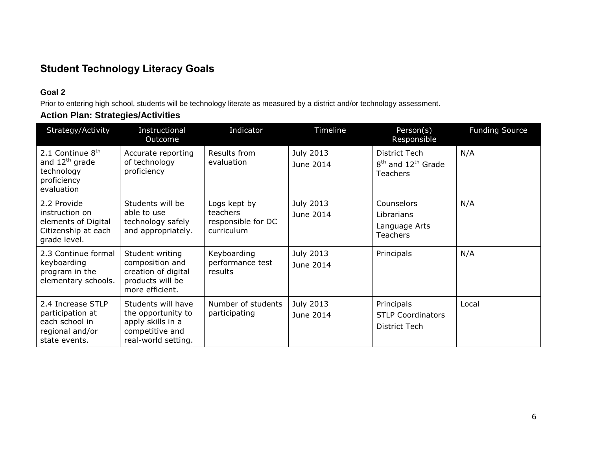# **Student Technology Literacy Goals**

## **Goal 2**

Prior to entering high school, students will be technology literate as measured by a district and/or technology assessment.

## **Action Plan: Strategies/Activities**

<span id="page-9-0"></span>

| Strategy/Activity                                                                                     | Instructional<br>Outcome                                                                                | Indicator                                                    | Timeline               | Person(s)<br>Responsible                                     | <b>Funding Source</b> |
|-------------------------------------------------------------------------------------------------------|---------------------------------------------------------------------------------------------------------|--------------------------------------------------------------|------------------------|--------------------------------------------------------------|-----------------------|
| 2.1 Continue 8 <sup>th</sup><br>and 12 <sup>th</sup> grade<br>technology<br>proficiency<br>evaluation | Accurate reporting<br>of technology<br>proficiency                                                      | Results from<br>evaluation                                   | July 2013<br>June 2014 | District Tech<br>$8th$ and $12th$ Grade<br><b>Teachers</b>   | N/A                   |
| 2.2 Provide<br>instruction on<br>elements of Digital<br>Citizenship at each<br>grade level.           | Students will be<br>able to use<br>technology safely<br>and appropriately.                              | Logs kept by<br>teachers<br>responsible for DC<br>curriculum | July 2013<br>June 2014 | Counselors<br>Librarians<br>Language Arts<br><b>Teachers</b> | N/A                   |
| 2.3 Continue formal<br>keyboarding<br>program in the<br>elementary schools.                           | Student writing<br>composition and<br>creation of digital<br>products will be<br>more efficient.        | Keyboarding<br>performance test<br>results                   | July 2013<br>June 2014 | Principals                                                   | N/A                   |
| 2.4 Increase STLP<br>participation at<br>each school in<br>regional and/or<br>state events.           | Students will have<br>the opportunity to<br>apply skills in a<br>competitive and<br>real-world setting. | Number of students<br>participating                          | July 2013<br>June 2014 | Principals<br><b>STLP Coordinators</b><br>District Tech      | Local                 |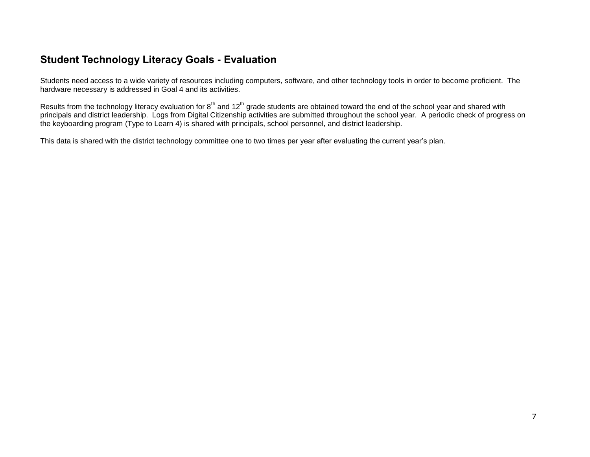## **Student Technology Literacy Goals - Evaluation**

Students need access to a wide variety of resources including computers, software, and other technology tools in order to become proficient. The hardware necessary is addressed in Goal 4 and its activities.

Results from the technology literacy evaluation for 8<sup>th</sup> and 12<sup>th</sup> grade students are obtained toward the end of the school year and shared with principals and district leadership. Logs from Digital Citizenship activities are submitted throughout the school year. A periodic check of progress on the keyboarding program (Type to Learn 4) is shared with principals, school personnel, and district leadership.

<span id="page-10-0"></span>This data is shared with the district technology committee one to two times per year after evaluating the current year's plan.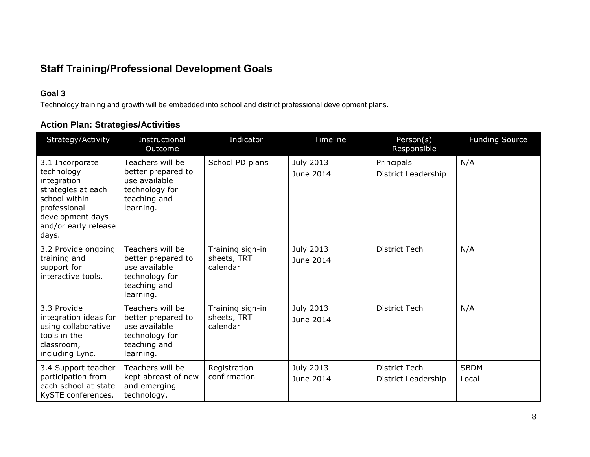# **Staff Training/Professional Development Goals**

## **Goal 3**

Technology training and growth will be embedded into school and district professional development plans.

## **Action Plan: Strategies/Activities**

<span id="page-11-0"></span>

| Strategy/Activity                                                                                                                                        | Instructional<br>Outcome                                                                               | Indicator                                   | Timeline                      | Person(s)<br>Responsible                    | <b>Funding Source</b> |
|----------------------------------------------------------------------------------------------------------------------------------------------------------|--------------------------------------------------------------------------------------------------------|---------------------------------------------|-------------------------------|---------------------------------------------|-----------------------|
| 3.1 Incorporate<br>technology<br>integration<br>strategies at each<br>school within<br>professional<br>development days<br>and/or early release<br>days. | Teachers will be<br>better prepared to<br>use available<br>technology for<br>teaching and<br>learning. | School PD plans                             | July 2013<br>June 2014        | Principals<br>District Leadership           | N/A                   |
| 3.2 Provide ongoing<br>training and<br>support for<br>interactive tools.                                                                                 | Teachers will be<br>better prepared to<br>use available<br>technology for<br>teaching and<br>learning. | Training sign-in<br>sheets, TRT<br>calendar | <b>July 2013</b><br>June 2014 | <b>District Tech</b>                        | N/A                   |
| 3.3 Provide<br>integration ideas for<br>using collaborative<br>tools in the<br>classroom,<br>including Lync.                                             | Teachers will be<br>better prepared to<br>use available<br>technology for<br>teaching and<br>learning. | Training sign-in<br>sheets, TRT<br>calendar | July 2013<br>June 2014        | <b>District Tech</b>                        | N/A                   |
| 3.4 Support teacher<br>participation from<br>each school at state<br>KySTE conferences.                                                                  | Teachers will be<br>kept abreast of new<br>and emerging<br>technology.                                 | Registration<br>confirmation                | July 2013<br>June 2014        | <b>District Tech</b><br>District Leadership | <b>SBDM</b><br>Local  |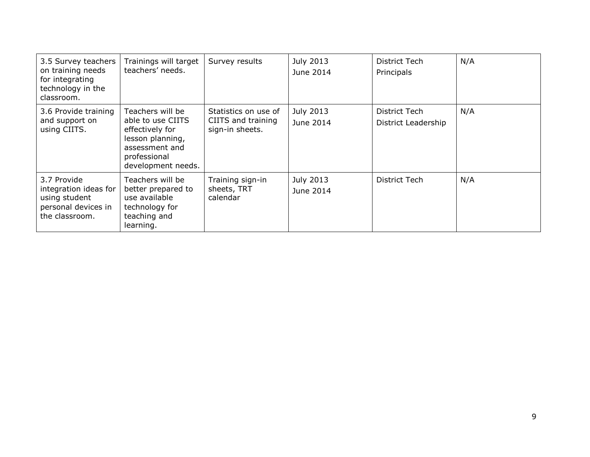| 3.5 Survey teachers<br>on training needs<br>for integrating<br>technology in the<br>classroom. | Trainings will target<br>teachers' needs.                                                                                            | Survey results                                                | July 2013<br>June 2014 | District Tech<br>Principals          | N/A |
|------------------------------------------------------------------------------------------------|--------------------------------------------------------------------------------------------------------------------------------------|---------------------------------------------------------------|------------------------|--------------------------------------|-----|
| 3.6 Provide training<br>and support on<br>using CIITS.                                         | Teachers will be<br>able to use CIITS<br>effectively for<br>lesson planning,<br>assessment and<br>professional<br>development needs. | Statistics on use of<br>CIITS and training<br>sign-in sheets. | July 2013<br>June 2014 | District Tech<br>District Leadership | N/A |
| 3.7 Provide<br>integration ideas for<br>using student<br>personal devices in<br>the classroom. | Teachers will be<br>better prepared to<br>use available<br>technology for<br>teaching and<br>learning.                               | Training sign-in<br>sheets, TRT<br>calendar                   | July 2013<br>June 2014 | District Tech                        | N/A |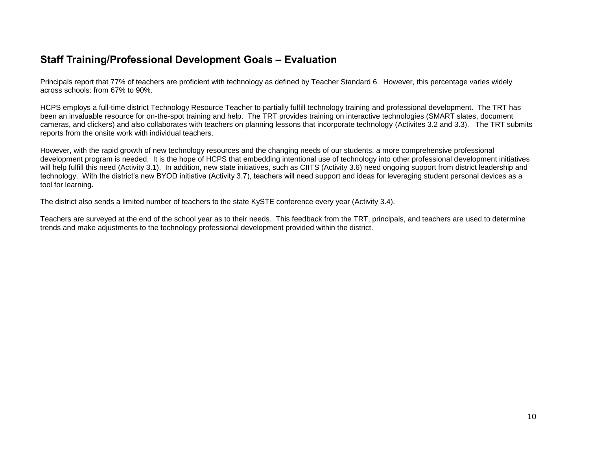## **Staff Training/Professional Development Goals – Evaluation**

Principals report that 77% of teachers are proficient with technology as defined by Teacher Standard 6. However, this percentage varies widely across schools: from 67% to 90%.

HCPS employs a full-time district Technology Resource Teacher to partially fulfill technology training and professional development. The TRT has been an invaluable resource for on-the-spot training and help. The TRT provides training on interactive technologies (SMART slates, document cameras, and clickers) and also collaborates with teachers on planning lessons that incorporate technology (Activites 3.2 and 3.3). The TRT submits reports from the onsite work with individual teachers.

However, with the rapid growth of new technology resources and the changing needs of our students, a more comprehensive professional development program is needed. It is the hope of HCPS that embedding intentional use of technology into other professional development initiatives will help fulfill this need (Activity 3.1). In addition, new state initiatives, such as CIITS (Activity 3.6) need ongoing support from district leadership and technology. With the district's new BYOD initiative (Activity 3.7), teachers will need support and ideas for leveraging student personal devices as a tool for learning.

<span id="page-13-0"></span>The district also sends a limited number of teachers to the state KySTE conference every year (Activity 3.4).

Teachers are surveyed at the end of the school year as to their needs. This feedback from the TRT, principals, and teachers are used to determine trends and make adjustments to the technology professional development provided within the district.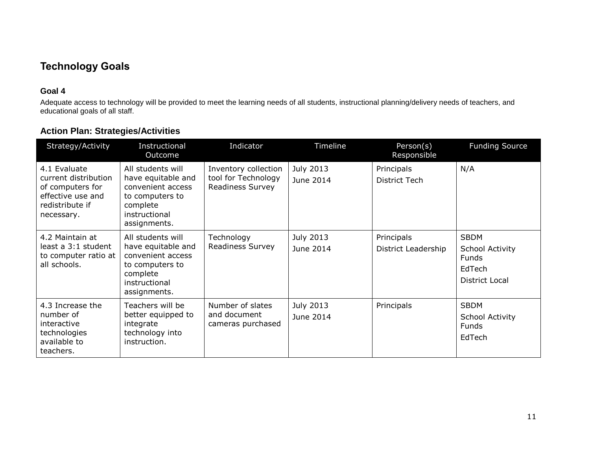# **Technology Goals**

### **Goal 4**

Adequate access to technology will be provided to meet the learning needs of all students, instructional planning/delivery needs of teachers, and educational goals of all staff.

<span id="page-14-0"></span>

| Strategy/Activity                                                                                              | Instructional<br>Outcome                                                                                                     | Indicator                                                       | Timeline               | Person(s)<br>Responsible          | <b>Funding Source</b>                                               |
|----------------------------------------------------------------------------------------------------------------|------------------------------------------------------------------------------------------------------------------------------|-----------------------------------------------------------------|------------------------|-----------------------------------|---------------------------------------------------------------------|
| 4.1 Evaluate<br>current distribution<br>of computers for<br>effective use and<br>redistribute if<br>necessary. | All students will<br>have equitable and<br>convenient access<br>to computers to<br>complete<br>instructional<br>assignments. | Inventory collection<br>tool for Technology<br>Readiness Survey | July 2013<br>June 2014 | Principals<br>District Tech       | N/A                                                                 |
| 4.2 Maintain at<br>least a 3:1 student<br>to computer ratio at<br>all schools.                                 | All students will<br>have equitable and<br>convenient access<br>to computers to<br>complete<br>instructional<br>assignments. | Technology<br>Readiness Survey                                  | July 2013<br>June 2014 | Principals<br>District Leadership | <b>SBDM</b><br>School Activity<br>Funds<br>EdTech<br>District Local |
| 4.3 Increase the<br>number of<br>interactive<br>technologies<br>available to<br>teachers.                      | Teachers will be<br>better equipped to<br>integrate<br>technology into<br>instruction.                                       | Number of slates<br>and document<br>cameras purchased           | July 2013<br>June 2014 | Principals                        | <b>SBDM</b><br>School Activity<br>Funds<br>EdTech                   |

## **Action Plan: Strategies/Activities**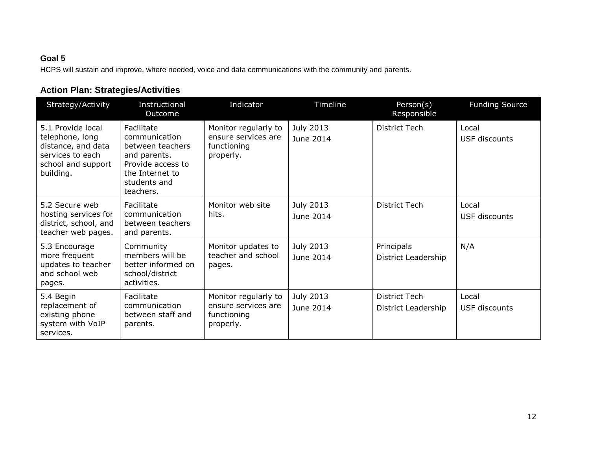## **Goal 5**

HCPS will sustain and improve, where needed, voice and data communications with the community and parents.

# **Action Plan: Strategies/Activities**

| Strategy/Activity                                                                                                 | Instructional<br>Outcome                                                                                                             | Indicator                                                               | Timeline                      | Person(s)<br>Responsible                    | <b>Funding Source</b>         |
|-------------------------------------------------------------------------------------------------------------------|--------------------------------------------------------------------------------------------------------------------------------------|-------------------------------------------------------------------------|-------------------------------|---------------------------------------------|-------------------------------|
| 5.1 Provide local<br>telephone, long<br>distance, and data<br>services to each<br>school and support<br>building. | Facilitate<br>communication<br>between teachers<br>and parents.<br>Provide access to<br>the Internet to<br>students and<br>teachers. | Monitor regularly to<br>ensure services are<br>functioning<br>properly. | July 2013<br>June 2014        | <b>District Tech</b>                        | Local<br><b>USF discounts</b> |
| 5.2 Secure web<br>hosting services for<br>district, school, and<br>teacher web pages.                             | Facilitate<br>communication<br>between teachers<br>and parents.                                                                      | Monitor web site<br>hits.                                               | July 2013<br>June 2014        | District Tech                               | Local<br>USF discounts        |
| 5.3 Encourage<br>more frequent<br>updates to teacher<br>and school web<br>pages.                                  | Community<br>members will be<br>better informed on<br>school/district<br>activities.                                                 | Monitor updates to<br>teacher and school<br>pages.                      | July 2013<br>June 2014        | Principals<br>District Leadership           | N/A                           |
| 5.4 Begin<br>replacement of<br>existing phone<br>system with VoIP<br>services.                                    | Facilitate<br>communication<br>between staff and<br>parents.                                                                         | Monitor regularly to<br>ensure services are<br>functioning<br>properly. | <b>July 2013</b><br>June 2014 | <b>District Tech</b><br>District Leadership | Local<br>USF discounts        |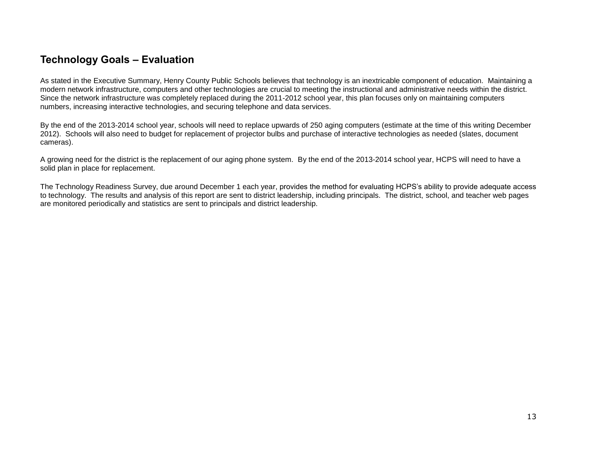## **Technology Goals – Evaluation**

As stated in the Executive Summary, Henry County Public Schools believes that technology is an inextricable component of education. Maintaining a modern network infrastructure, computers and other technologies are crucial to meeting the instructional and administrative needs within the district. Since the network infrastructure was completely replaced during the 2011-2012 school year, this plan focuses only on maintaining computers numbers, increasing interactive technologies, and securing telephone and data services.

By the end of the 2013-2014 school year, schools will need to replace upwards of 250 aging computers (estimate at the time of this writing December 2012). Schools will also need to budget for replacement of projector bulbs and purchase of interactive technologies as needed (slates, document cameras).

A growing need for the district is the replacement of our aging phone system. By the end of the 2013-2014 school year, HCPS will need to have a solid plan in place for replacement.

<span id="page-16-0"></span>The Technology Readiness Survey, due around December 1 each year, provides the method for evaluating HCPS's ability to provide adequate access to technology. The results and analysis of this report are sent to district leadership, including principals. The district, school, and teacher web pages are monitored periodically and statistics are sent to principals and district leadership.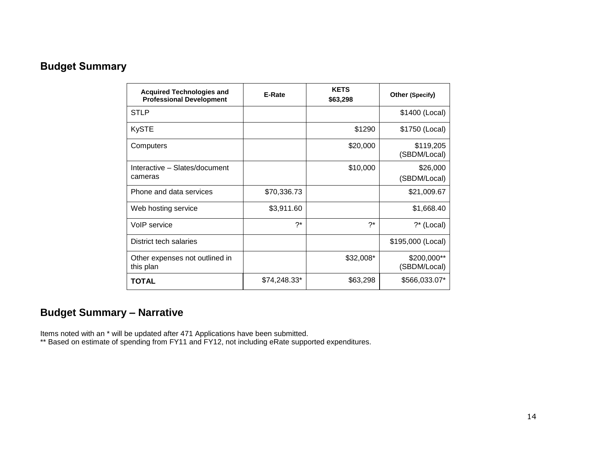# **Budget Summary**

| <b>Acquired Technologies and</b><br><b>Professional Development</b> | E-Rate       | <b>KETS</b><br>\$63,298 | <b>Other (Specify)</b>      |
|---------------------------------------------------------------------|--------------|-------------------------|-----------------------------|
| <b>STLP</b>                                                         |              |                         | \$1400 (Local)              |
| <b>KySTE</b>                                                        |              | \$1290                  | \$1750 (Local)              |
| Computers                                                           |              | \$20,000                | \$119,205<br>(SBDM/Local)   |
| Interactive - Slates/document<br>cameras                            |              | \$10,000                | \$26,000<br>(SBDM/Local)    |
| Phone and data services                                             | \$70,336.73  |                         | \$21,009.67                 |
| Web hosting service                                                 | \$3,911.60   |                         | \$1,668.40                  |
| VoIP service                                                        | $2^*$        | 7*                      | ?* (Local)                  |
| District tech salaries                                              |              |                         | \$195,000 (Local)           |
| Other expenses not outlined in<br>this plan                         |              | $$32,008*$              | \$200,000**<br>(SBDM/Local) |
| <b>TOTAL</b>                                                        | \$74,248.33* | \$63,298                | \$566,033.07*               |

# <span id="page-17-0"></span>**Budget Summary – Narrative**

Items noted with an \* will be updated after 471 Applications have been submitted.

\*\* Based on estimate of spending from FY11 and FY12, not including eRate supported expenditures.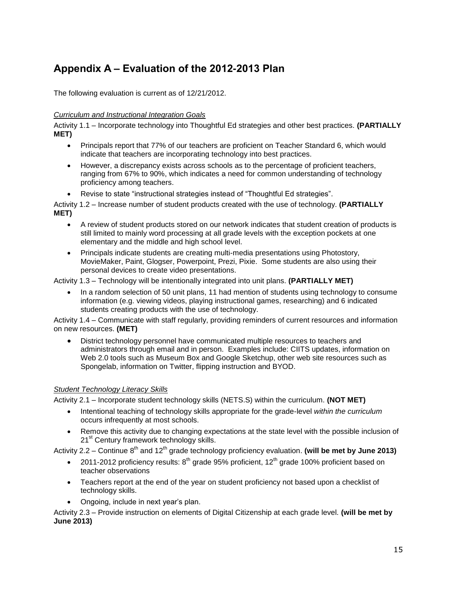# <span id="page-18-0"></span>**Appendix A – Evaluation of the 2012-2013 Plan**

The following evaluation is current as of 12/21/2012.

#### *Curriculum and Instructional Integration Goals*

Activity 1.1 – Incorporate technology into Thoughtful Ed strategies and other best practices. **(PARTIALLY MET)**

- Principals report that 77% of our teachers are proficient on Teacher Standard 6, which would indicate that teachers are incorporating technology into best practices.
- However, a discrepancy exists across schools as to the percentage of proficient teachers, ranging from 67% to 90%, which indicates a need for common understanding of technology proficiency among teachers.
- Revise to state "instructional strategies instead of "Thoughtful Ed strategies".

Activity 1.2 – Increase number of student products created with the use of technology. **(PARTIALLY MET)**

- A review of student products stored on our network indicates that student creation of products is still limited to mainly word processing at all grade levels with the exception pockets at one elementary and the middle and high school level.
- Principals indicate students are creating multi-media presentations using Photostory, MovieMaker, Paint, Glogser, Powerpoint, Prezi, Pixie. Some students are also using their personal devices to create video presentations.

Activity 1.3 – Technology will be intentionally integrated into unit plans. **(PARTIALLY MET)**

 In a random selection of 50 unit plans, 11 had mention of students using technology to consume information (e.g. viewing videos, playing instructional games, researching) and 6 indicated students creating products with the use of technology.

Activity 1.4 – Communicate with staff regularly, providing reminders of current resources and information on new resources. **(MET)**

 District technology personnel have communicated multiple resources to teachers and administrators through email and in person. Examples include: CIITS updates, information on Web 2.0 tools such as Museum Box and Google Sketchup, other web site resources such as Spongelab, information on Twitter, flipping instruction and BYOD.

#### *Student Technology Literacy Skills*

Activity 2.1 – Incorporate student technology skills (NETS.S) within the curriculum. **(NOT MET)**

- Intentional teaching of technology skills appropriate for the grade-level *within the curriculum* occurs infrequently at most schools.
- Remove this activity due to changing expectations at the state level with the possible inclusion of 21<sup>st</sup> Century framework technology skills.

Activity 2.2 – Continue 8<sup>th</sup> and 12<sup>th</sup> grade technology proficiency evaluation. **(will be met by June 2013)** 

- 2011-2012 proficiency results:  $8<sup>th</sup>$  grade 95% proficient, 12<sup>th</sup> grade 100% proficient based on teacher observations
- Teachers report at the end of the year on student proficiency not based upon a checklist of technology skills.
- Ongoing, include in next year's plan.

Activity 2.3 – Provide instruction on elements of Digital Citizenship at each grade level. **(will be met by June 2013)**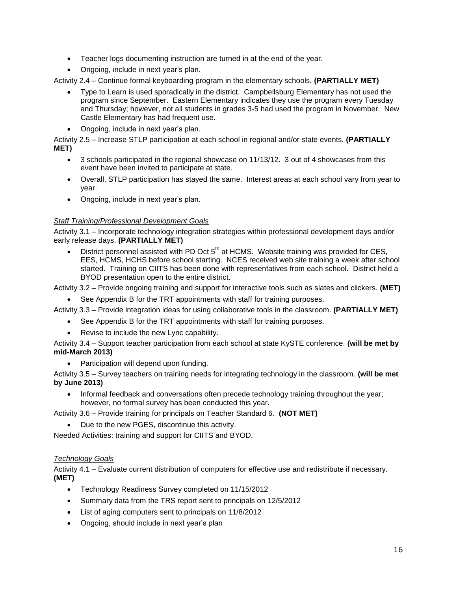- Teacher logs documenting instruction are turned in at the end of the year.
- Ongoing, include in next year's plan.

Activity 2.4 – Continue formal keyboarding program in the elementary schools. **(PARTIALLY MET)**

- Type to Learn is used sporadically in the district. Campbellsburg Elementary has not used the program since September. Eastern Elementary indicates they use the program every Tuesday and Thursday; however, not all students in grades 3-5 had used the program in November. New Castle Elementary has had frequent use.
- Ongoing, include in next year's plan.

Activity 2.5 – Increase STLP participation at each school in regional and/or state events. **(PARTIALLY MET)**

- 3 schools participated in the regional showcase on 11/13/12. 3 out of 4 showcases from this event have been invited to participate at state.
- Overall, STLP participation has stayed the same. Interest areas at each school vary from year to year.
- Ongoing, include in next year's plan.

#### *Staff Training/Professional Development Goals*

Activity 3.1 – Incorporate technology integration strategies within professional development days and/or early release days. **(PARTIALLY MET)**

District personnel assisted with PD Oct  $5<sup>th</sup>$  at HCMS. Website training was provided for CES. EES, HCMS, HCHS before school starting. NCES received web site training a week after school started. Training on CIITS has been done with representatives from each school. District held a BYOD presentation open to the entire district.

Activity 3.2 – Provide ongoing training and support for interactive tools such as slates and clickers. **(MET)**

See Appendix B for the TRT appointments with staff for training purposes.

Activity 3.3 – Provide integration ideas for using collaborative tools in the classroom. **(PARTIALLY MET)**

- See Appendix B for the TRT appointments with staff for training purposes.
- Revise to include the new Lync capability.

Activity 3.4 – Support teacher participation from each school at state KySTE conference. **(will be met by mid-March 2013)**

Participation will depend upon funding.

Activity 3.5 – Survey teachers on training needs for integrating technology in the classroom. **(will be met by June 2013)**

 Informal feedback and conversations often precede technology training throughout the year; however, no formal survey has been conducted this year.

Activity 3.6 – Provide training for principals on Teacher Standard 6. **(NOT MET)**

Due to the new PGES, discontinue this activity.

Needed Activities: training and support for CIITS and BYOD.

#### *Technology Goals*

Activity 4.1 – Evaluate current distribution of computers for effective use and redistribute if necessary. **(MET)**

- Technology Readiness Survey completed on 11/15/2012
- Summary data from the TRS report sent to principals on 12/5/2012
- List of aging computers sent to principals on 11/8/2012
- Ongoing, should include in next year's plan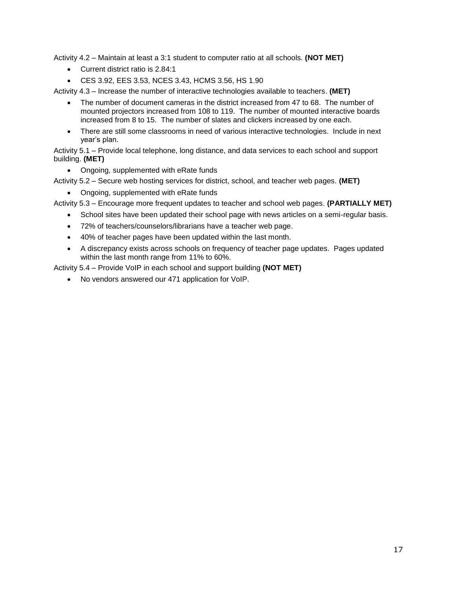Activity 4.2 – Maintain at least a 3:1 student to computer ratio at all schools. **(NOT MET)**

- Current district ratio is 2.84:1
- CES 3.92, EES 3.53, NCES 3.43, HCMS 3.56, HS 1.90

Activity 4.3 – Increase the number of interactive technologies available to teachers. **(MET)**

- The number of document cameras in the district increased from 47 to 68. The number of mounted projectors increased from 108 to 119. The number of mounted interactive boards increased from 8 to 15. The number of slates and clickers increased by one each.
- There are still some classrooms in need of various interactive technologies. Include in next year's plan.

Activity 5.1 – Provide local telephone, long distance, and data services to each school and support building. **(MET)**

• Ongoing, supplemented with eRate funds

Activity 5.2 – Secure web hosting services for district, school, and teacher web pages. **(MET)**

• Ongoing, supplemented with eRate funds

Activity 5.3 – Encourage more frequent updates to teacher and school web pages. **(PARTIALLY MET)**

- School sites have been updated their school page with news articles on a semi-regular basis.
- 72% of teachers/counselors/librarians have a teacher web page.
- 40% of teacher pages have been updated within the last month.
- A discrepancy exists across schools on frequency of teacher page updates. Pages updated within the last month range from 11% to 60%.

Activity 5.4 – Provide VoIP in each school and support building **(NOT MET)**

No vendors answered our 471 application for VoIP.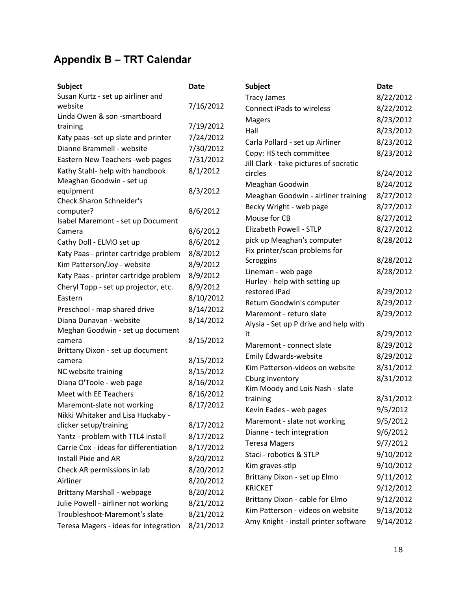# <span id="page-21-0"></span>**Appendix B – TRT Calendar**

| <b>Subject</b>                               | <b>Date</b> | <b>Subject</b>                                 | Date      |
|----------------------------------------------|-------------|------------------------------------------------|-----------|
| Susan Kurtz - set up airliner and            |             | <b>Tracy James</b>                             | 8/22/2012 |
| website                                      | 7/16/2012   | <b>Connect iPads to wireless</b>               | 8/22/2012 |
| Linda Owen & son -smartboard                 |             | <b>Magers</b>                                  | 8/23/2012 |
| training                                     | 7/19/2012   | Hall                                           | 8/23/2012 |
| Katy paas -set up slate and printer          | 7/24/2012   | Carla Pollard - set up Airliner                | 8/23/2012 |
| Dianne Brammell - website                    | 7/30/2012   | Copy: HS tech committee                        | 8/23/2012 |
| Eastern New Teachers - web pages             | 7/31/2012   | Jill Clark - take pictures of socratic         |           |
| Kathy Stahl- help with handbook              | 8/1/2012    | circles                                        | 8/24/2012 |
| Meaghan Goodwin - set up                     |             | Meaghan Goodwin                                | 8/24/2012 |
| equipment<br><b>Check Sharon Schneider's</b> | 8/3/2012    | Meaghan Goodwin - airliner training            | 8/27/2012 |
| computer?                                    | 8/6/2012    | Becky Wright - web page                        | 8/27/2012 |
| Isabel Maremont - set up Document            |             | Mouse for CB                                   | 8/27/2012 |
| Camera                                       | 8/6/2012    | Elizabeth Powell - STLP                        | 8/27/2012 |
| Cathy Doll - ELMO set up                     | 8/6/2012    | pick up Meaghan's computer                     | 8/28/2012 |
| Katy Paas - printer cartridge problem        | 8/8/2012    | Fix printer/scan problems for                  |           |
| Kim Patterson/Joy - website                  | 8/9/2012    | Scroggins                                      | 8/28/2012 |
| Katy Paas - printer cartridge problem        | 8/9/2012    | Lineman - web page                             | 8/28/2012 |
| Cheryl Topp - set up projector, etc.         | 8/9/2012    | Hurley - help with setting up<br>restored iPad | 8/29/2012 |
| Eastern                                      | 8/10/2012   | Return Goodwin's computer                      | 8/29/2012 |
| Preschool - map shared drive                 | 8/14/2012   | Maremont - return slate                        | 8/29/2012 |
| Diana Dunavan - website                      | 8/14/2012   | Alysia - Set up P drive and help with          |           |
| Meghan Goodwin - set up document             |             | it                                             | 8/29/2012 |
| camera                                       | 8/15/2012   | Maremont - connect slate                       | 8/29/2012 |
| Brittany Dixon - set up document             |             | <b>Emily Edwards-website</b>                   | 8/29/2012 |
| camera                                       | 8/15/2012   | Kim Patterson-videos on website                | 8/31/2012 |
| NC website training                          | 8/15/2012   | Cburg inventory                                | 8/31/2012 |
| Diana O'Toole - web page                     | 8/16/2012   | Kim Moody and Lois Nash - slate                |           |
| Meet with EE Teachers                        | 8/16/2012   | training                                       | 8/31/2012 |
| Maremont-slate not working                   | 8/17/2012   | Kevin Eades - web pages                        | 9/5/2012  |
| Nikki Whitaker and Lisa Huckaby -            |             | Maremont - slate not working                   | 9/5/2012  |
| clicker setup/training                       | 8/17/2012   | Dianne - tech integration                      | 9/6/2012  |
| Yantz - problem with TTL4 install            | 8/17/2012   | <b>Teresa Magers</b>                           | 9/7/2012  |
| Carrie Cox - ideas for differentiation       | 8/17/2012   | Staci - robotics & STLP                        | 9/10/2012 |
| Install Pixie and AR                         | 8/20/2012   | Kim graves-stlp                                | 9/10/2012 |
| Check AR permissions in lab                  | 8/20/2012   | Brittany Dixon - set up Elmo                   | 9/11/2012 |
| Airliner                                     | 8/20/2012   | <b>KRICKET</b>                                 | 9/12/2012 |
| <b>Brittany Marshall - webpage</b>           | 8/20/2012   | Brittany Dixon - cable for Elmo                | 9/12/2012 |
| Julie Powell - airliner not working          | 8/21/2012   | Kim Patterson - videos on website              | 9/13/2012 |
| Troubleshoot-Maremont's slate                | 8/21/2012   | Amy Knight - install printer software          | 9/14/2012 |
| Teresa Magers - ideas for integration        | 8/21/2012   |                                                |           |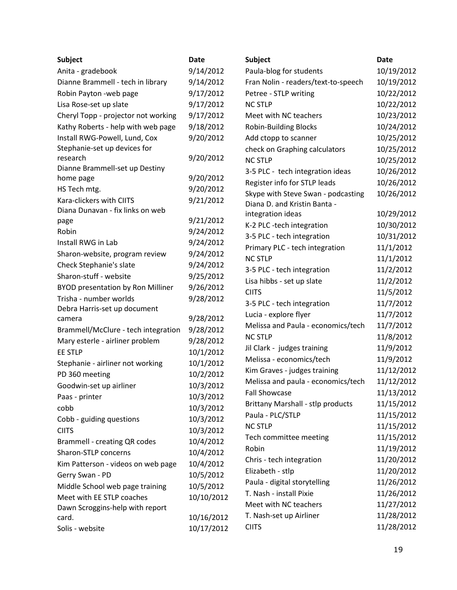| <b>Subject</b>                                    | <b>Date</b> | <b>Subject</b>                      | <b>Date</b> |
|---------------------------------------------------|-------------|-------------------------------------|-------------|
| Anita - gradebook                                 | 9/14/2012   | Paula-blog for students             | 10/19/2012  |
| Dianne Brammell - tech in library                 | 9/14/2012   | Fran Nolin - readers/text-to-speech | 10/19/2012  |
| Robin Payton - web page                           | 9/17/2012   | Petree - STLP writing               | 10/22/2012  |
| Lisa Rose-set up slate                            | 9/17/2012   | <b>NC STLP</b>                      | 10/22/2012  |
| Cheryl Topp - projector not working               | 9/17/2012   | Meet with NC teachers               | 10/23/2012  |
| Kathy Roberts - help with web page                | 9/18/2012   | <b>Robin-Building Blocks</b>        | 10/24/2012  |
| Install RWG-Powell, Lund, Cox                     | 9/20/2012   | Add ctopp to scanner                | 10/25/2012  |
| Stephanie-set up devices for                      |             | check on Graphing calculators       | 10/25/2012  |
| research                                          | 9/20/2012   | <b>NC STLP</b>                      | 10/25/2012  |
| Dianne Brammell-set up Destiny                    |             | 3-5 PLC - tech integration ideas    | 10/26/2012  |
| home page                                         | 9/20/2012   | Register info for STLP leads        | 10/26/2012  |
| HS Tech mtg.                                      | 9/20/2012   | Skype with Steve Swan - podcasting  | 10/26/2012  |
| Kara-clickers with CIITS                          | 9/21/2012   | Diana D. and Kristin Banta -        |             |
| Diana Dunavan - fix links on web                  |             | integration ideas                   | 10/29/2012  |
| page                                              | 9/21/2012   | K-2 PLC -tech integration           | 10/30/2012  |
| Robin                                             | 9/24/2012   | 3-5 PLC - tech integration          | 10/31/2012  |
| Install RWG in Lab                                | 9/24/2012   | Primary PLC - tech integration      | 11/1/2012   |
| Sharon-website, program review                    | 9/24/2012   | <b>NC STLP</b>                      | 11/1/2012   |
| Check Stephanie's slate                           | 9/24/2012   | 3-5 PLC - tech integration          | 11/2/2012   |
| Sharon-stuff - website                            | 9/25/2012   | Lisa hibbs - set up slate           | 11/2/2012   |
| <b>BYOD presentation by Ron Milliner</b>          | 9/26/2012   | <b>CIITS</b>                        | 11/5/2012   |
| Trisha - number worlds                            | 9/28/2012   | 3-5 PLC - tech integration          | 11/7/2012   |
| Debra Harris-set up document                      | 9/28/2012   | Lucia - explore flyer               | 11/7/2012   |
| camera                                            | 9/28/2012   | Melissa and Paula - economics/tech  | 11/7/2012   |
| Brammell/McClure - tech integration               | 9/28/2012   | <b>NC STLP</b>                      | 11/8/2012   |
| Mary esterle - airliner problem<br><b>EE STLP</b> | 10/1/2012   | Jil Clark - judges training         | 11/9/2012   |
|                                                   | 10/1/2012   | Melissa - economics/tech            | 11/9/2012   |
| Stephanie - airliner not working                  |             | Kim Graves - judges training        | 11/12/2012  |
| PD 360 meeting                                    | 10/2/2012   | Melissa and paula - economics/tech  | 11/12/2012  |
| Goodwin-set up airliner                           | 10/3/2012   | <b>Fall Showcase</b>                | 11/13/2012  |
| Paas - printer                                    | 10/3/2012   | Brittany Marshall - stlp products   | 11/15/2012  |
| cobb                                              | 10/3/2012   | Paula - PLC/STLP                    | 11/15/2012  |
| Cobb - guiding questions<br><b>CIITS</b>          | 10/3/2012   | <b>NC STLP</b>                      | 11/15/2012  |
|                                                   | 10/3/2012   | Tech committee meeting              | 11/15/2012  |
| <b>Brammell - creating QR codes</b>               | 10/4/2012   | Robin                               | 11/19/2012  |
| Sharon-STLP concerns                              | 10/4/2012   | Chris - tech integration            | 11/20/2012  |
| Kim Patterson - videos on web page                | 10/4/2012   | Elizabeth - stlp                    | 11/20/2012  |
| Gerry Swan - PD                                   | 10/5/2012   | Paula - digital storytelling        | 11/26/2012  |
| Middle School web page training                   | 10/5/2012   | T. Nash - install Pixie             | 11/26/2012  |
| Meet with EE STLP coaches                         | 10/10/2012  | Meet with NC teachers               | 11/27/2012  |
| Dawn Scroggins-help with report<br>card.          | 10/16/2012  | T. Nash-set up Airliner             | 11/28/2012  |
| Solis - website                                   | 10/17/2012  | <b>CIITS</b>                        | 11/28/2012  |
|                                                   |             |                                     |             |